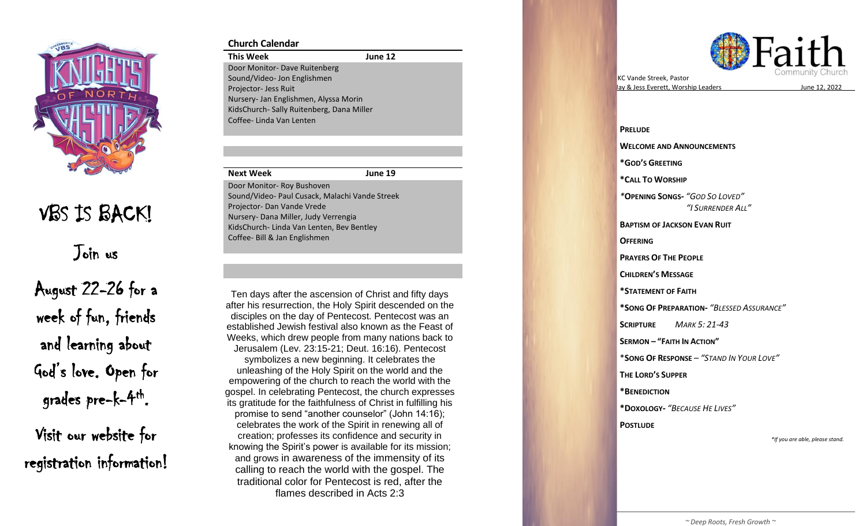

VBS IS BACK!

Join us

August 22 -26 for a week of fun, friends and learning about God's love. Open for grades pre-k-<sup>4th</sup>.

Visit our website for registration information!

## **Church Calendar**

**This Week June 12** Door Monitor - Dave Ruitenberg Sound/Video - Jon Englishmen Projector- Jess Ruit Nursery - Jan Englishmen, Alyssa Morin KidsChurch - Sally Ruitenberg, Dana Miller Coffee - Linda Van Lenten

#### **Next Week**

**1 9** Door Monitor - Roy Bushoven Sound/Video - Paul Cusack, Malachi Vande Streek Projector- Dan Vande Vrede Nursery - Dana Miller, Judy Verrengia KidsChurch - Linda Van Lenten, Bev Bentley Coffee - Bill & Jan Englishmen

Ten days after the ascension of Christ and fifty days established Jewish festival also known as the Feast of Jerusalem (Lev. 23:15-21; Deut. 16:16). Pentecost empowering of the church to reach the world with the after his resurrection, the Holy Spirit descended on the disciples on the day of Pentecost. Pentecost was an Weeks, which drew people from many nations back to symbolizes a new beginning. It celebrates the unleashing of the Holy Spirit on the world and the

its gratitude for the faithfulness of Christ in fulfilling his creation; professes its confidence and security in calling to reach the world with the gospel. The gospel. In celebrating Pentecost, the church expresses promise to send "another counselor" (John 14:16); celebrates the work of the Spirit in renewing all of knowing the Spirit's power is available for its mission; and grows in awareness of the immensity of its traditional color for Pentecost is red, after the flames described in Acts 2:3



s June 12, 2022

 **PRELUDE WELCOME AND ANNOUNCEMENTS \*GOD 'S GREETING \* CALL TO WORSHIP**  *\** **OPENING SONG S -** *"GOD SO LOVED " "I SURRENDER ALL "* **BAPTISM OF JACKSON EVAN RUIT OFFERING PRAYERS OF THE PEOPLE CHILDREN 'S MESSAGE \*STATEMENT OF FAITH \*SONG OF PREPARATION -** *"BLESSED ASSURANCE "* **SCRIPTURE**  *MARK 5: 21 -43* **SERMON – " FAITH IN ACTION "** \* **SONG OF RESPONSE** – *"STAND IN YOUR LOVE "* **THE LORD 'S SUPPER \*BENEDICTION \*DOXOLOGY -** *"BECAUSE HE LIVES "* **POSTLUDE** *\*If you are able, please stand.*

KC Vande Streek , Pastor

lay & Jess Everett, Worship Leaders